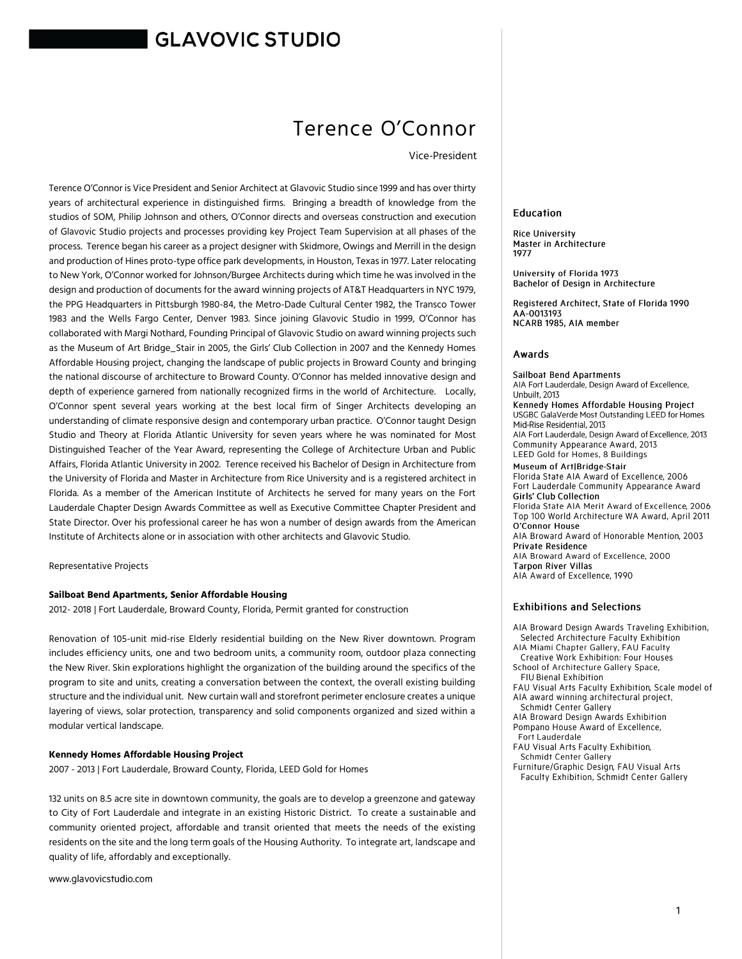# **GLAVOVIC STUDIO**

# Terence O'Connor

Vice-President

Terence O'Connor is Vice President and Senior Architect at Glavovic Studio since 1999 and has over thirty years of architectural experience in distinguished firms. Bringing a breadth of knowledge from the studios of SOM, Philip Johnson and others, O'Connor directs and overseas construction and execution of Glavovic Studio projects and processes providing key Project Team Supervision at all phases of the process. Terence began his career as a project designer with Skidmore, Owings and Merrill in the design and production of Hines proto-type office park developments, in Houston, Texas in 1977. Later relocating to New York, O'Connor worked for Johnson/Burgee Architects during which time he was involved in the design and production of documents for the award winning projects of AT&T Headquarters in NYC 1979, the PPG Headquarters in Pittsburgh 1980-84, the Metro-Dade Cultural Center 1982, the Transco Tower 1983 and the Wells Fargo Center, Denver 1983. Since joining Glavovic Studio in 1999, O'Connor has collaborated with Margi Nothard, Founding Principal of Glavovic Studio on award winning projects such as the Museum of Art Bridge\_Stair in 2005, the Girls' Club Collection in 2007 and the Kennedy Homes Affordable Housing project, changing the landscape of public projects in Broward County and bringing the national discourse of architecture to Broward County. O'Connor has melded innovative design and depth of experience garnered from nationally recognized firms in the world of Architecture. Locally, O'Connor spent several years working at the best local firm of Singer Architects developing an understanding of climate responsive design and contemporary urban practice. O'Connor taught Design Studio and Theory at Florida Atlantic University for seven years where he was nominated for Most Distinguished Teacher of the Year Award, representing the College of Architecture Urban and Public Affairs, Florida Atlantic University in 2002. Terence received his Bachelor of Design in Architecture from the University of Florida and Master in Architecture from Rice University and is a registered architect in Florida. As a member of the American Institute of Architects he served for many years on the Fort Lauderdale Chapter Design Awards Committee as well as Executive Committee Chapter President and State Director. Over his professional career he has won a number of design awards from the American Institute of Architects alone or in association with other architects and Glavovic Studio.

Representative Projects

#### **Sailboat Bend Apartments, Senior Affordable Housing**

2012- 2018 | Fort Lauderdale, Broward County, Florida, Permit granted for construction

Renovation of 105-unit mid-rise Elderly residential building on the New River downtown. Program includes efficiency units, one and two bedroom units, a community room, outdoor plaza connecting the New River. Skin explorations highlight the organization of the building around the specifics of the program to site and units, creating a conversation between the context, the overall existing building structure and the individual unit. New curtain wall and storefront perimeter enclosure creates a unique layering of views, solar protection, transparency and solid components organized and sized within a modular vertical landscape.

#### **Kennedy Homes Affordable Housing Project**

2007 - 2013 | Fort Lauderdale, Broward County, Florida, LEED Gold for Homes

132 units on 8.5 acre site in downtown community, the goals are to develop a greenzone and gateway to City of Fort Lauderdale and integrate in an existing Historic District. To create a sustainable and community oriented project, affordable and transit oriented that meets the needs of the existing residents on the site and the long term goals of the Housing Authority. To integrate art, landscape and quality of life, affordably and exceptionally.

www.glavovicstudio.com

#### Education

**Rice University** Master in Architecture 1977

University of Florida 1973 Bachelor of Design in Architecture

Registered Architect, State of Florida 1990 AA-0013193 NCARB 1985. AIA member

#### Awards

Sailboat Bend Apartments AIA Fort Lauderdale, Design Award of Excellence, Unbuilt. 2013 Kennedy Homes Affordable Housing Project USGBC GalaVerde Most Outstanding LEED for Homes Mid-Rise Residential, 2013 AIA Fort Lauderdale, Design Award of Excellence, 2013 Community Appearance Award, 2013 LEED Gold for Homes, 8 Buildings Museum of Art|Bridge-Stair Florida State AIA Award of Excellence, 2006 Fort Lauderdale Community Appearance Award Girls' Club Collection Florida State AIA Merit Award of Excellence, 2006 Top 100 World Architecture WA Award, April 2011 O'Connor House AIA Broward Award of Honorable Mention, 2003 Private Residence AIA Broward Award of Excellence, 2000 **Tarpon River Villas** 

AIA Award of Excellence, 1990

#### **Exhibitions and Selections**

AIA Broward Design Awards Traveling Exhibition, Selected Architecture Faculty Exhibition

- AIA Miami Chapter Gallery, FAU Faculty Creative Work Exhibition: Four Houses School of Architecture Gallery Space,
- FIU Bienal Exhibition
- FAU Visual Arts Faculty Exhibition, Scale model of AIA award winning architectural project,
- Schmidt Center Gallery AIA Broward Design Awards Exhibition Pompano House Award of Excellence,
- Fort Lauderdale
- FAU Visual Arts Faculty Exhibition, Schmidt Center Gallery
- Furniture/Graphic Design, FAU Visual Arts Faculty Exhibition, Schmidt Center Gallery